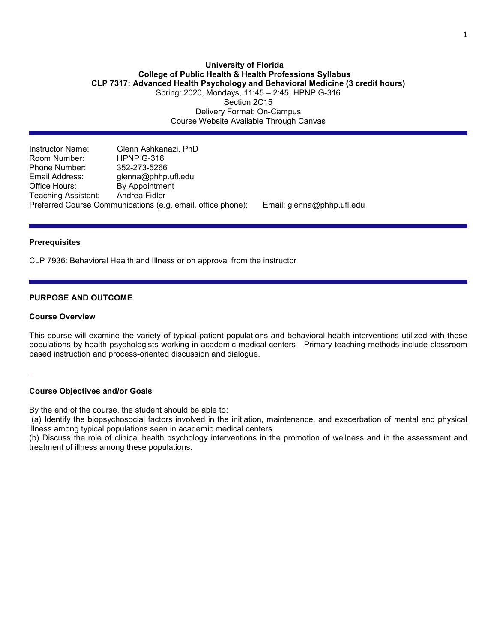# **University of Florida College of Public Health & Health Professions Syllabus CLP 7317: Advanced Health Psychology and Behavioral Medicine (3 credit hours)** Spring: 2020, Mondays, 11:45 – 2:45, HPNP G-316

Section 2C15 Delivery Format: On-Campus Course Website Available Through Canvas

Instructor Name: Glenn Ashkanazi, PhD Room Number: <br>
Phone Number: 352-273-5266 Phone Number: Email Address: glenna@phhp.ufl.edu Office Hours: By Appointment<br>Teaching Assistant: Andrea Fidler Teaching Assistant: Preferred Course Communications (e.g. email, office phone): Email: glenna@phhp.ufl.edu

#### **Prerequisites**

CLP 7936: Behavioral Health and Illness or on approval from the instructor

## **PURPOSE AND OUTCOME**

#### **Course Overview**

.

This course will examine the variety of typical patient populations and behavioral health interventions utilized with these populations by health psychologists working in academic medical centersPrimary teaching methods include classroom based instruction and process-oriented discussion and dialogue.

#### **Course Objectives and/or Goals**

By the end of the course, the student should be able to:

(a) Identify the biopsychosocial factors involved in the initiation, maintenance, and exacerbation of mental and physical illness among typical populations seen in academic medical centers.

(b) Discuss the role of clinical health psychology interventions in the promotion of wellness and in the assessment and treatment of illness among these populations.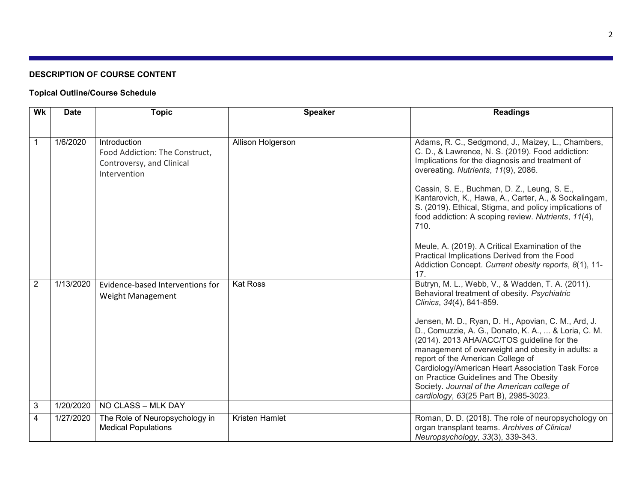# **DESCRIPTION OF COURSE CONTENT**

# **Topical Outline/Course Schedule**

| Wk             | <b>Date</b> | <b>Topic</b>                                                                                | <b>Speaker</b>    | <b>Readings</b>                                                                                                                                                                                                                                                                                                                                                                                                                                                                                                                                                                               |
|----------------|-------------|---------------------------------------------------------------------------------------------|-------------------|-----------------------------------------------------------------------------------------------------------------------------------------------------------------------------------------------------------------------------------------------------------------------------------------------------------------------------------------------------------------------------------------------------------------------------------------------------------------------------------------------------------------------------------------------------------------------------------------------|
|                |             |                                                                                             |                   |                                                                                                                                                                                                                                                                                                                                                                                                                                                                                                                                                                                               |
| $\mathbf 1$    | 1/6/2020    | Introduction<br>Food Addiction: The Construct,<br>Controversy, and Clinical<br>Intervention | Allison Holgerson | Adams, R. C., Sedgmond, J., Maizey, L., Chambers,<br>C. D., & Lawrence, N. S. (2019). Food addiction:<br>Implications for the diagnosis and treatment of<br>overeating. Nutrients, 11(9), 2086.<br>Cassin, S. E., Buchman, D. Z., Leung, S. E.,<br>Kantarovich, K., Hawa, A., Carter, A., & Sockalingam,<br>S. (2019). Ethical, Stigma, and policy implications of<br>food addiction: A scoping review. Nutrients, 11(4),<br>710.<br>Meule, A. (2019). A Critical Examination of the<br>Practical Implications Derived from the Food<br>Addiction Concept. Current obesity reports, 8(1), 11- |
| $\overline{2}$ | 1/13/2020   | Evidence-based Interventions for                                                            | <b>Kat Ross</b>   | 17.<br>Butryn, M. L., Webb, V., & Wadden, T. A. (2011).                                                                                                                                                                                                                                                                                                                                                                                                                                                                                                                                       |
|                |             | <b>Weight Management</b>                                                                    |                   | Behavioral treatment of obesity. Psychiatric<br>Clinics, 34(4), 841-859.                                                                                                                                                                                                                                                                                                                                                                                                                                                                                                                      |
|                |             |                                                                                             |                   | Jensen, M. D., Ryan, D. H., Apovian, C. M., Ard, J.<br>D., Comuzzie, A. G., Donato, K. A.,  & Loria, C. M.                                                                                                                                                                                                                                                                                                                                                                                                                                                                                    |
|                |             |                                                                                             |                   | (2014). 2013 AHA/ACC/TOS guideline for the<br>management of overweight and obesity in adults: a                                                                                                                                                                                                                                                                                                                                                                                                                                                                                               |
|                |             |                                                                                             |                   | report of the American College of<br>Cardiology/American Heart Association Task Force                                                                                                                                                                                                                                                                                                                                                                                                                                                                                                         |
|                |             |                                                                                             |                   | on Practice Guidelines and The Obesity                                                                                                                                                                                                                                                                                                                                                                                                                                                                                                                                                        |
|                |             |                                                                                             |                   | Society. Journal of the American college of<br>cardiology, 63(25 Part B), 2985-3023.                                                                                                                                                                                                                                                                                                                                                                                                                                                                                                          |
| $\sqrt{3}$     | 1/20/2020   | NO CLASS - MLK DAY                                                                          |                   |                                                                                                                                                                                                                                                                                                                                                                                                                                                                                                                                                                                               |
| $\overline{4}$ | 1/27/2020   | The Role of Neuropsychology in<br><b>Medical Populations</b>                                | Kristen Hamlet    | Roman, D. D. (2018). The role of neuropsychology on<br>organ transplant teams. Archives of Clinical<br>Neuropsychology, 33(3), 339-343.                                                                                                                                                                                                                                                                                                                                                                                                                                                       |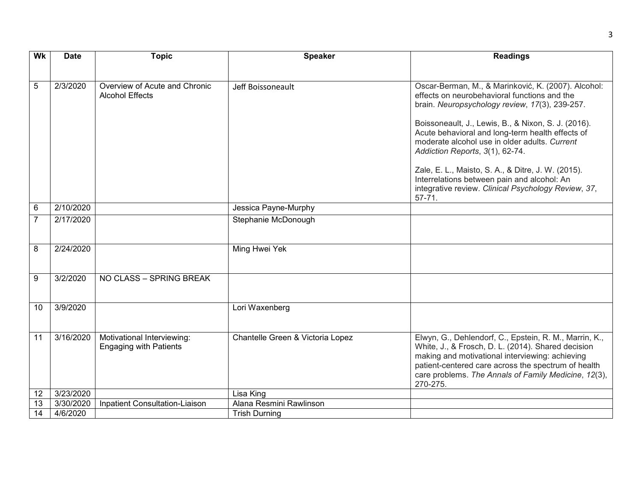| Wk             | <b>Date</b> | <b>Topic</b>                                                | <b>Speaker</b>                   | <b>Readings</b>                                                                                                                                                                                                                                                                                                                                                                                                                                                                                                                |
|----------------|-------------|-------------------------------------------------------------|----------------------------------|--------------------------------------------------------------------------------------------------------------------------------------------------------------------------------------------------------------------------------------------------------------------------------------------------------------------------------------------------------------------------------------------------------------------------------------------------------------------------------------------------------------------------------|
|                |             |                                                             |                                  |                                                                                                                                                                                                                                                                                                                                                                                                                                                                                                                                |
| 5              | 2/3/2020    | Overview of Acute and Chronic<br><b>Alcohol Effects</b>     | Jeff Boissoneault                | Oscar-Berman, M., & Marinković, K. (2007). Alcohol:<br>effects on neurobehavioral functions and the<br>brain. Neuropsychology review, 17(3), 239-257.<br>Boissoneault, J., Lewis, B., & Nixon, S. J. (2016).<br>Acute behavioral and long-term health effects of<br>moderate alcohol use in older adults. Current<br>Addiction Reports, 3(1), 62-74.<br>Zale, E. L., Maisto, S. A., & Ditre, J. W. (2015).<br>Interrelations between pain and alcohol: An<br>integrative review. Clinical Psychology Review, 37,<br>$57 - 71.$ |
| 6              | 2/10/2020   |                                                             | Jessica Payne-Murphy             |                                                                                                                                                                                                                                                                                                                                                                                                                                                                                                                                |
| $\overline{7}$ | 2/17/2020   |                                                             | Stephanie McDonough              |                                                                                                                                                                                                                                                                                                                                                                                                                                                                                                                                |
|                |             |                                                             |                                  |                                                                                                                                                                                                                                                                                                                                                                                                                                                                                                                                |
| 8              | 2/24/2020   |                                                             | Ming Hwei Yek                    |                                                                                                                                                                                                                                                                                                                                                                                                                                                                                                                                |
| 9              | 3/2/2020    | NO CLASS - SPRING BREAK                                     |                                  |                                                                                                                                                                                                                                                                                                                                                                                                                                                                                                                                |
| 10             | 3/9/2020    |                                                             | Lori Waxenberg                   |                                                                                                                                                                                                                                                                                                                                                                                                                                                                                                                                |
| 11             | 3/16/2020   | Motivational Interviewing:<br><b>Engaging with Patients</b> | Chantelle Green & Victoria Lopez | Elwyn, G., Dehlendorf, C., Epstein, R. M., Marrin, K.,<br>White, J., & Frosch, D. L. (2014). Shared decision<br>making and motivational interviewing: achieving<br>patient-centered care across the spectrum of health<br>care problems. The Annals of Family Medicine, 12(3),<br>270-275.                                                                                                                                                                                                                                     |
| 12             | 3/23/2020   |                                                             | Lisa King                        |                                                                                                                                                                                                                                                                                                                                                                                                                                                                                                                                |
| 13             | 3/30/2020   | Inpatient Consultation-Liaison                              | Alana Resmini Rawlinson          |                                                                                                                                                                                                                                                                                                                                                                                                                                                                                                                                |
| 14             | 4/6/2020    |                                                             | <b>Trish Durning</b>             |                                                                                                                                                                                                                                                                                                                                                                                                                                                                                                                                |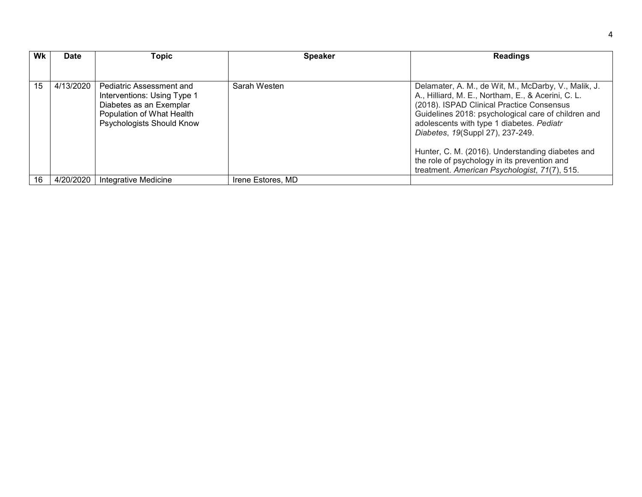| Wk | Date      | Topic                                                                                                                                               | <b>Speaker</b>    | <b>Readings</b>                                                                                                                                                                                                                                                                                                                                                                                                                                      |  |  |  |  |  |
|----|-----------|-----------------------------------------------------------------------------------------------------------------------------------------------------|-------------------|------------------------------------------------------------------------------------------------------------------------------------------------------------------------------------------------------------------------------------------------------------------------------------------------------------------------------------------------------------------------------------------------------------------------------------------------------|--|--|--|--|--|
|    |           |                                                                                                                                                     |                   |                                                                                                                                                                                                                                                                                                                                                                                                                                                      |  |  |  |  |  |
| 15 | 4/13/2020 | Pediatric Assessment and<br>Interventions: Using Type 1<br>Diabetes as an Exemplar<br>Population of What Health<br><b>Psychologists Should Know</b> | Sarah Westen      | Delamater, A. M., de Wit, M., McDarby, V., Malik, J.<br>A., Hilliard, M. E., Northam, E., & Acerini, C. L.<br>(2018). ISPAD Clinical Practice Consensus<br>Guidelines 2018: psychological care of children and<br>adolescents with type 1 diabetes. Pediatr<br>Diabetes, 19(Suppl 27), 237-249.<br>Hunter, C. M. (2016). Understanding diabetes and<br>the role of psychology in its prevention and<br>treatment. American Psychologist, 71(7), 515. |  |  |  |  |  |
| 16 | 4/20/2020 | Integrative Medicine                                                                                                                                | Irene Estores, MD |                                                                                                                                                                                                                                                                                                                                                                                                                                                      |  |  |  |  |  |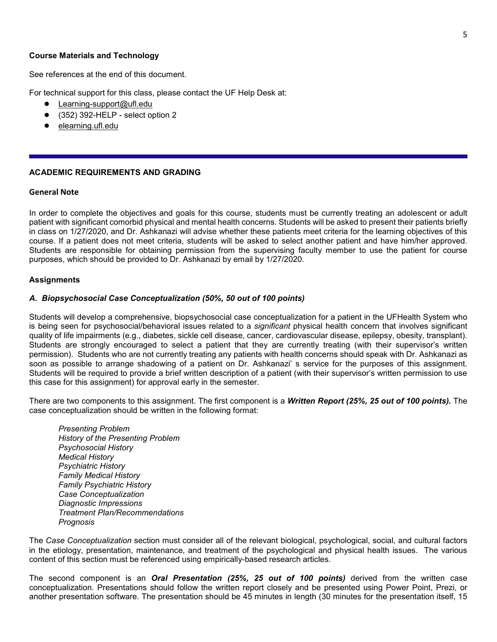#### **Course Materials and Technology**

See references at the end of this document.

For technical support for this class, please contact the UF Help Desk at:

- Learning-support@ufl.edu
- (352) 392-HELP select option 2
- [elearning.ufl.edu](https://lss.at.ufl.edu/help.shtml)

#### **ACADEMIC REQUIREMENTS AND GRADING**

#### **General Note**

In order to complete the objectives and goals for this course, students must be currently treating an adolescent or adult patient with significant comorbid physical and mental health concerns. Students will be asked to present their patients briefly in class on 1/27/2020, and Dr. Ashkanazi will advise whether these patients meet criteria for the learning objectives of this course. If a patient does not meet criteria, students will be asked to select another patient and have him/her approved. Students are responsible for obtaining permission from the supervising faculty member to use the patient for course purposes, which should be provided to Dr. Ashkanazi by email by 1/27/2020.

#### **Assignments**

#### *A. Biopsychosocial Case Conceptualization (50%, 50 out of 100 points)*

Students will develop a comprehensive, biopsychosocial case conceptualization for a patient in the UFHealth System who is being seen for psychosocial/behavioral issues related to a *significant* physical health concern that involves significant quality of life impairments (e.g., diabetes, sickle cell disease, cancer, cardiovascular disease, epilepsy, obesity, transplant). Students are strongly encouraged to select a patient that they are currently treating (with their supervisor's written permission). Students who are not currently treating any patients with health concerns should speak with Dr. Ashkanazi as soon as possible to arrange shadowing of a patient on Dr. Ashkanazi' s service for the purposes of this assignment. Students will be required to provide a brief written description of a patient (with their supervisor's written permission to use this case for this assignment) for approval early in the semester.

There are two components to this assignment. The first component is a *Written Report (25%, 25 out of 100 points).* The case conceptualization should be written in the following format:

*Presenting Problem History of the Presenting Problem Psychosocial History Medical History Psychiatric History Family Medical History Family Psychiatric History Case Conceptualization Diagnostic Impressions Treatment Plan/Recommendations Prognosis*

The *Case Conceptualization* section must consider all of the relevant biological, psychological, social, and cultural factors in the etiology, presentation, maintenance, and treatment of the psychological and physical health issues. The various content of this section must be referenced using empirically-based research articles.

The second component is an *Oral Presentation (25%, 25 out of 100 points)* derived from the written case conceptualization. Presentations should follow the written report closely and be presented using Power Point, Prezi, or another presentation software. The presentation should be 45 minutes in length (30 minutes for the presentation itself, 15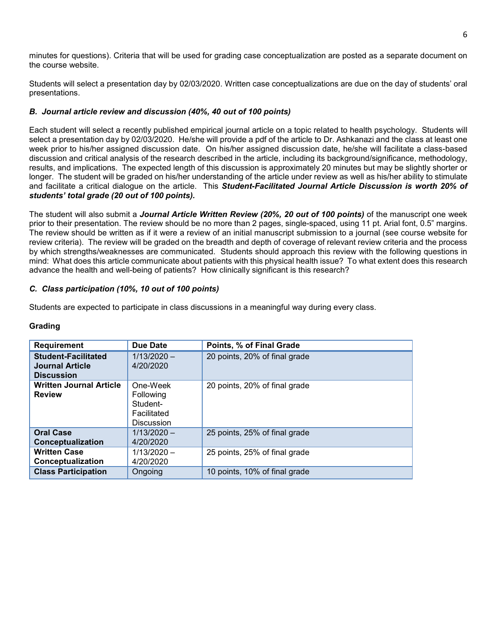minutes for questions). Criteria that will be used for grading case conceptualization are posted as a separate document on the course website.

Students will select a presentation day by 02/03/2020. Written case conceptualizations are due on the day of students' oral presentations.

# *B. Journal article review and discussion (40%, 40 out of 100 points)*

Each student will select a recently published empirical journal article on a topic related to health psychology. Students will select a presentation day by 02/03/2020. He/she will provide a pdf of the article to Dr. Ashkanazi and the class at least one week prior to his/her assigned discussion date. On his/her assigned discussion date, he/she will facilitate a class-based discussion and critical analysis of the research described in the article, including its background/significance, methodology, results, and implications. The expected length of this discussion is approximately 20 minutes but may be slightly shorter or longer. The student will be graded on his/her understanding of the article under review as well as his/her ability to stimulate and facilitate a critical dialogue on the article. This *Student-Facilitated Journal Article Discussion is worth 20% of students' total grade (20 out of 100 points).*

The student will also submit a *Journal Article Written Review (20%, 20 out of 100 points)* of the manuscript one week prior to their presentation. The review should be no more than 2 pages, single-spaced, using 11 pt. Arial font, 0.5" margins. The review should be written as if it were a review of an initial manuscript submission to a journal (see course website for review criteria). The review will be graded on the breadth and depth of coverage of relevant review criteria and the process by which strengths/weaknesses are communicated. Students should approach this review with the following questions in mind: What does this article communicate about patients with this physical health issue? To what extent does this research advance the health and well-being of patients? How clinically significant is this research?

# *C. Class participation (10%, 10 out of 100 points)*

Students are expected to participate in class discussions in a meaningful way during every class.

### **Grading**

| <b>Requirement</b>                                                        | <b>Due Date</b>                                                       | Points, % of Final Grade      |
|---------------------------------------------------------------------------|-----------------------------------------------------------------------|-------------------------------|
| <b>Student-Facilitated</b><br><b>Journal Article</b><br><b>Discussion</b> | $1/13/2020 -$<br>4/20/2020                                            | 20 points, 20% of final grade |
| <b>Written Journal Article</b><br><b>Review</b>                           | One-Week<br>Following<br>Student-<br>Facilitated<br><b>Discussion</b> | 20 points, 20% of final grade |
| <b>Oral Case</b><br>Conceptualization                                     | $1/13/2020 -$<br>4/20/2020                                            | 25 points, 25% of final grade |
| <b>Written Case</b><br>Conceptualization                                  | $1/13/2020 -$<br>4/20/2020                                            | 25 points, 25% of final grade |
| <b>Class Participation</b>                                                | Ongoing                                                               | 10 points, 10% of final grade |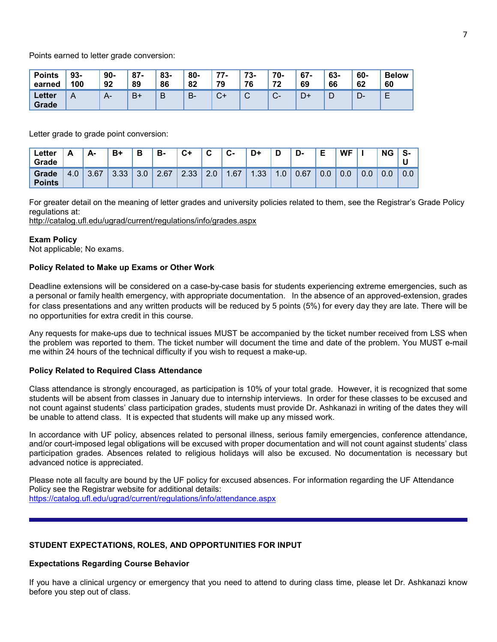Points earned to letter grade conversion:

| <b>Points</b>   | $93-$ | $90-$ | $87 -$ | 83- | 80- | 77-  | 73-         | 70-              | $67 -$ | 63- | 60-  | <b>Below</b>  |
|-----------------|-------|-------|--------|-----|-----|------|-------------|------------------|--------|-----|------|---------------|
| earned          | 100   | 92    | 89     | 86  | 82  | 79   | 76          | 72               | 69     | 66  | 62   | 60            |
| Letter<br>Grade | A     | $A-$  | B+     | B   | B-  | $C+$ | $\sim$<br>ັ | $\sim$<br>$\sim$ | D+     | ◡   | – ∪− | <b>.</b><br>− |

Letter grade to grade point conversion:

| Letter<br>Grade        | $\overline{\phantom{a}}$ | А-   | $B+$ | В         | B-   | $C+$ | ◠<br>v          | $c-$ | D+   | D              | D-   | Е   | <b>WF</b> |     | <b>NG</b> | S-  |
|------------------------|--------------------------|------|------|-----------|------|------|-----------------|------|------|----------------|------|-----|-----------|-----|-----------|-----|
| Grade<br><b>Points</b> | 4.0                      | 3.67 | 3.33 | 30<br>v.v | 2.67 | 2.33 | $\Omega$<br>Z.U | .67  | 1.33 | $\overline{0}$ | 0.67 | 0.0 | 0.0       | 0.0 | 0.0       | 0.0 |

For greater detail on the meaning of letter grades and university policies related to them, see the Registrar's Grade Policy regulations at:

<http://catalog.ufl.edu/ugrad/current/regulations/info/grades.aspx>

## **Exam Policy**

Not applicable; No exams.

## **Policy Related to Make up Exams or Other Work**

Deadline extensions will be considered on a case-by-case basis for students experiencing extreme emergencies, such as a personal or family health emergency, with appropriate documentation. In the absence of an approved-extension, grades for class presentations and any written products will be reduced by 5 points (5%) for every day they are late. There will be no opportunities for extra credit in this course.

Any requests for make-ups due to technical issues MUST be accompanied by the ticket number received from LSS when the problem was reported to them. The ticket number will document the time and date of the problem. You MUST e-mail me within 24 hours of the technical difficulty if you wish to request a make-up.

### **Policy Related to Required Class Attendance**

Class attendance is strongly encouraged, as participation is 10% of your total grade. However, it is recognized that some students will be absent from classes in January due to internship interviews. In order for these classes to be excused and not count against students' class participation grades, students must provide Dr. Ashkanazi in writing of the dates they will be unable to attend class. It is expected that students will make up any missed work.

In accordance with UF policy, absences related to personal illness, serious family emergencies, conference attendance, and/or court-imposed legal obligations will be excused with proper documentation and will not count against students' class participation grades. Absences related to religious holidays will also be excused. No documentation is necessary but advanced notice is appreciated.

Please note all faculty are bound by the UF policy for excused absences. For information regarding the UF Attendance Policy see the Registrar website for additional details: <https://catalog.ufl.edu/ugrad/current/regulations/info/attendance.aspx>

## **STUDENT EXPECTATIONS, ROLES, AND OPPORTUNITIES FOR INPUT**

### **Expectations Regarding Course Behavior**

If you have a clinical urgency or emergency that you need to attend to during class time, please let Dr. Ashkanazi know before you step out of class.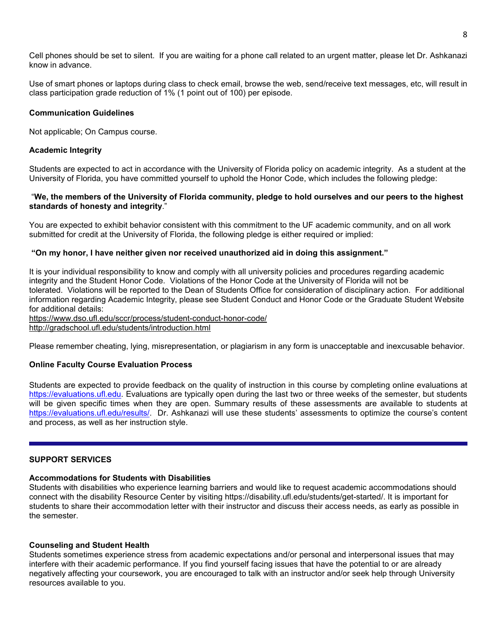Cell phones should be set to silent. If you are waiting for a phone call related to an urgent matter, please let Dr. Ashkanazi know in advance.

Use of smart phones or laptops during class to check email, browse the web, send/receive text messages, etc, will result in class participation grade reduction of 1% (1 point out of 100) per episode.

### **Communication Guidelines**

Not applicable; On Campus course.

### **Academic Integrity**

Students are expected to act in accordance with the University of Florida policy on academic integrity. As a student at the University of Florida, you have committed yourself to uphold the Honor Code, which includes the following pledge:

#### "We, the members of the University of Florida community, pledge to hold ourselves and our peers to the highest **standards of honesty and integrity**."

You are expected to exhibit behavior consistent with this commitment to the UF academic community, and on all work submitted for credit at the University of Florida, the following pledge is either required or implied:

#### **"On my honor, I have neither given nor received unauthorized aid in doing this assignment."**

It is your individual responsibility to know and comply with all university policies and procedures regarding academic integrity and the Student Honor Code. Violations of the Honor Code at the University of Florida will not be tolerated. Violations will be reported to the Dean of Students Office for consideration of disciplinary action. For additional information regarding Academic Integrity, please see Student Conduct and Honor Code or the Graduate Student Website for additional details:

<https://www.dso.ufl.edu/sccr/process/student-conduct-honor-code/>

<http://gradschool.ufl.edu/students/introduction.html>

Please remember cheating, lying, misrepresentation, or plagiarism in any form is unacceptable and inexcusable behavior.

### **Online Faculty Course Evaluation Process**

Students are expected to provide feedback on the quality of instruction in this course by completing online evaluations at [https://evaluations.ufl.edu.](https://evaluations.ufl.edu/) Evaluations are typically open during the last two or three weeks of the semester, but students will be given specific times when they are open. Summary results of these assessments are available to students at [https://evaluations.ufl.edu/results/.](https://evaluations.ufl.edu/results/) Dr. Ashkanazi will use these students' assessments to optimize the course's content and process, as well as her instruction style.

## **SUPPORT SERVICES**

#### **Accommodations for Students with Disabilities**

Students with disabilities who experience learning barriers and would like to request academic accommodations should connect with the disability Resource Center by visiting https://disability.ufl.edu/students/get-started/. It is important for students to share their accommodation letter with their instructor and discuss their access needs, as early as possible in the semester.

#### **Counseling and Student Health**

Students sometimes experience stress from academic expectations and/or personal and interpersonal issues that may interfere with their academic performance. If you find yourself facing issues that have the potential to or are already negatively affecting your coursework, you are encouraged to talk with an instructor and/or seek help through University resources available to you.